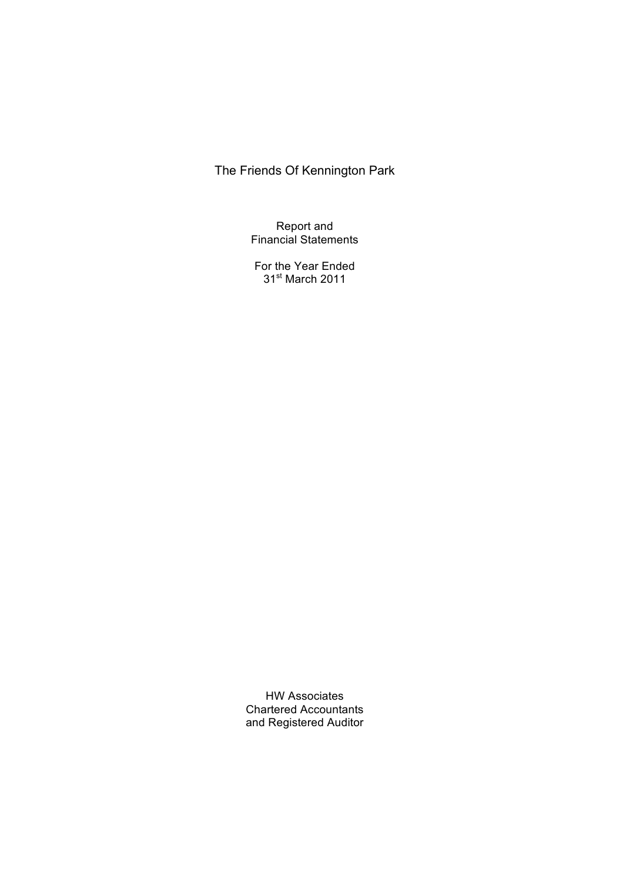Report and Financial Statements

For the Year Ended 31<sup>st</sup> March 2011

HW Associates Chartered Accountants and Registered Auditor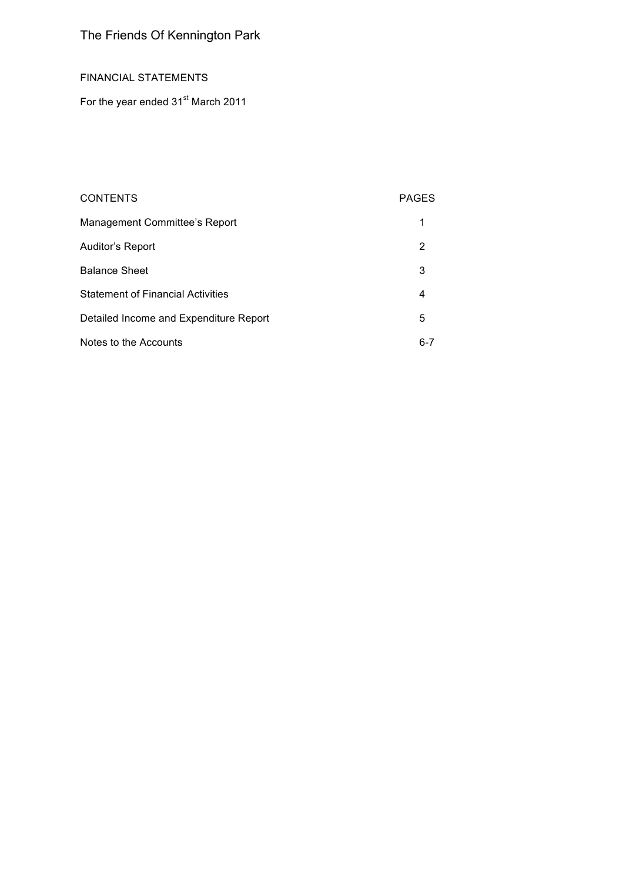# FINANCIAL STATEMENTS

For the year ended 31<sup>st</sup> March 2011

| <b>CONTENTS</b>                          | <b>PAGES</b> |
|------------------------------------------|--------------|
| Management Committee's Report            |              |
| Auditor's Report                         | 2            |
| <b>Balance Sheet</b>                     | 3            |
| <b>Statement of Financial Activities</b> | 4            |
| Detailed Income and Expenditure Report   | 5            |
| Notes to the Accounts                    | $6 - 7$      |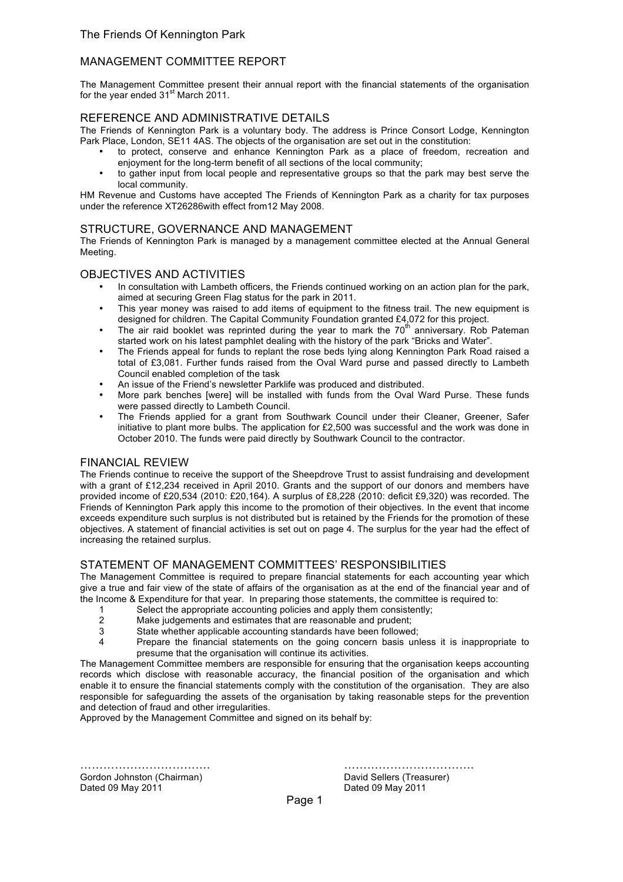## MANAGEMENT COMMITTEE REPORT

The Management Committee present their annual report with the financial statements of the organisation for the year ended 31<sup>st</sup> March 2011.

## REFERENCE AND ADMINISTRATIVE DETAILS

The Friends of Kennington Park is a voluntary body. The address is Prince Consort Lodge, Kennington Park Place, London, SE11 4AS. The objects of the organisation are set out in the constitution:

- to protect, conserve and enhance Kennington Park as a place of freedom, recreation and enjoyment for the long-term benefit of all sections of the local community;
- to gather input from local people and representative groups so that the park may best serve the local community.

HM Revenue and Customs have accepted The Friends of Kennington Park as a charity for tax purposes under the reference XT26286with effect from12 May 2008.

## STRUCTURE, GOVERNANCE AND MANAGEMENT

The Friends of Kennington Park is managed by a management committee elected at the Annual General Meeting.

#### OBJECTIVES AND ACTIVITIES

- In consultation with Lambeth officers, the Friends continued working on an action plan for the park, aimed at securing Green Flag status for the park in 2011.
- This year money was raised to add items of equipment to the fitness trail. The new equipment is designed for children. The Capital Community Foundation granted £4,072 for this project.
- The air raid booklet was reprinted during the year to mark the 70<sup>th</sup> anniversary. Rob Pateman started work on his latest pamphlet dealing with the history of the park "Bricks and Water".
- The Friends appeal for funds to replant the rose beds lying along Kennington Park Road raised a total of £3,081. Further funds raised from the Oval Ward purse and passed directly to Lambeth Council enabled completion of the task
- An issue of the Friend's newsletter Parklife was produced and distributed.
- More park benches [were] will be installed with funds from the Oval Ward Purse. These funds were passed directly to Lambeth Council.
- The Friends applied for a grant from Southwark Council under their Cleaner, Greener, Safer initiative to plant more bulbs. The application for £2,500 was successful and the work was done in October 2010. The funds were paid directly by Southwark Council to the contractor.

## FINANCIAL REVIEW

The Friends continue to receive the support of the Sheepdrove Trust to assist fundraising and development with a grant of £12,234 received in April 2010. Grants and the support of our donors and members have provided income of £20,534 (2010: £20,164). A surplus of £8,228 (2010: deficit £9,320) was recorded. The Friends of Kennington Park apply this income to the promotion of their objectives. In the event that income exceeds expenditure such surplus is not distributed but is retained by the Friends for the promotion of these objectives. A statement of financial activities is set out on page 4. The surplus for the year had the effect of increasing the retained surplus.

## STATEMENT OF MANAGEMENT COMMITTEES' RESPONSIBILITIES

The Management Committee is required to prepare financial statements for each accounting year which give a true and fair view of the state of affairs of the organisation as at the end of the financial year and of the Income & Expenditure for that year. In preparing those statements, the committee is required to:

- 1 Select the appropriate accounting policies and apply them consistently;
- 2 Make judgements and estimates that are reasonable and prudent;
- 3 State whether applicable accounting standards have been followed;
- 4 Prepare the financial statements on the going concern basis unless it is inappropriate to presume that the organisation will continue its activities.

The Management Committee members are responsible for ensuring that the organisation keeps accounting records which disclose with reasonable accuracy, the financial position of the organisation and which enable it to ensure the financial statements comply with the constitution of the organisation. They are also responsible for safeguarding the assets of the organisation by taking reasonable steps for the prevention and detection of fraud and other irregularities.

Approved by the Management Committee and signed on its behalf by:

……………………………. ……………………………. Gordon Johnston (Chairman) **David Sellers (Treasurer)** David Sellers (Treasurer) Dated 09 May 2011 Dated 09 May 2011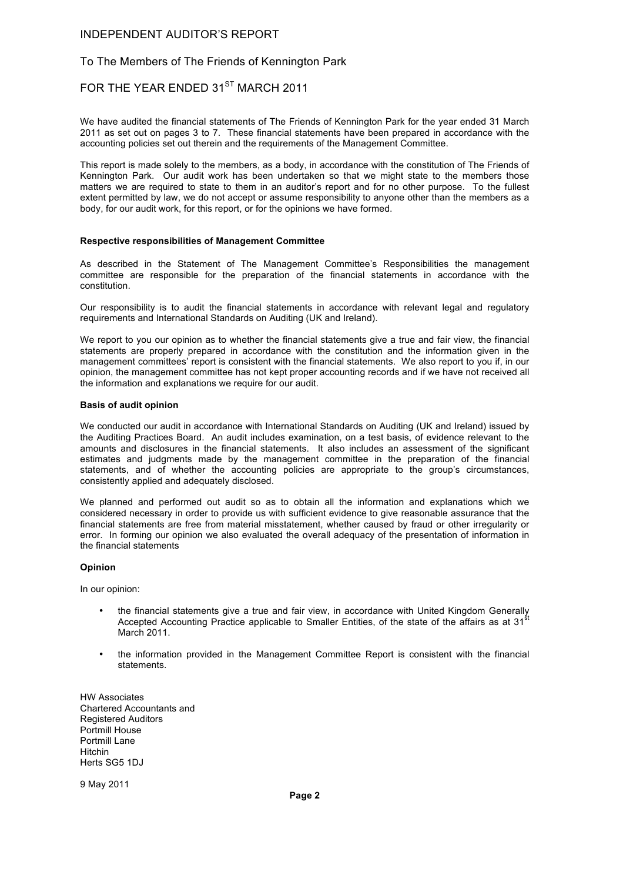#### INDEPENDENT AUDITOR'S REPORT

#### To The Members of The Friends of Kennington Park

# FOR THE YEAR ENDED 31<sup>ST</sup> MARCH 2011

We have audited the financial statements of The Friends of Kennington Park for the year ended 31 March 2011 as set out on pages 3 to 7. These financial statements have been prepared in accordance with the accounting policies set out therein and the requirements of the Management Committee.

This report is made solely to the members, as a body, in accordance with the constitution of The Friends of Kennington Park. Our audit work has been undertaken so that we might state to the members those matters we are required to state to them in an auditor's report and for no other purpose. To the fullest extent permitted by law, we do not accept or assume responsibility to anyone other than the members as a body, for our audit work, for this report, or for the opinions we have formed.

#### **Respective responsibilities of Management Committee**

As described in the Statement of The Management Committee's Responsibilities the management committee are responsible for the preparation of the financial statements in accordance with the constitution.

Our responsibility is to audit the financial statements in accordance with relevant legal and regulatory requirements and International Standards on Auditing (UK and Ireland).

We report to you our opinion as to whether the financial statements give a true and fair view, the financial statements are properly prepared in accordance with the constitution and the information given in the management committees' report is consistent with the financial statements. We also report to you if, in our opinion, the management committee has not kept proper accounting records and if we have not received all the information and explanations we require for our audit.

#### **Basis of audit opinion**

We conducted our audit in accordance with International Standards on Auditing (UK and Ireland) issued by the Auditing Practices Board. An audit includes examination, on a test basis, of evidence relevant to the amounts and disclosures in the financial statements. It also includes an assessment of the significant estimates and judgments made by the management committee in the preparation of the financial statements, and of whether the accounting policies are appropriate to the group's circumstances, consistently applied and adequately disclosed.

We planned and performed out audit so as to obtain all the information and explanations which we considered necessary in order to provide us with sufficient evidence to give reasonable assurance that the financial statements are free from material misstatement, whether caused by fraud or other irregularity or error. In forming our opinion we also evaluated the overall adequacy of the presentation of information in the financial statements

#### **Opinion**

In our opinion:

- the financial statements give a true and fair view, in accordance with United Kingdom Generally Accepted Accounting Practice applicable to Smaller Entities, of the state of the affairs as at  $31<sup>3</sup>$ March 2011.
- the information provided in the Management Committee Report is consistent with the financial statements.

HW Associates Chartered Accountants and Registered Auditors Portmill House Portmill Lane Hitchin Herts SG5 1DJ

9 May 2011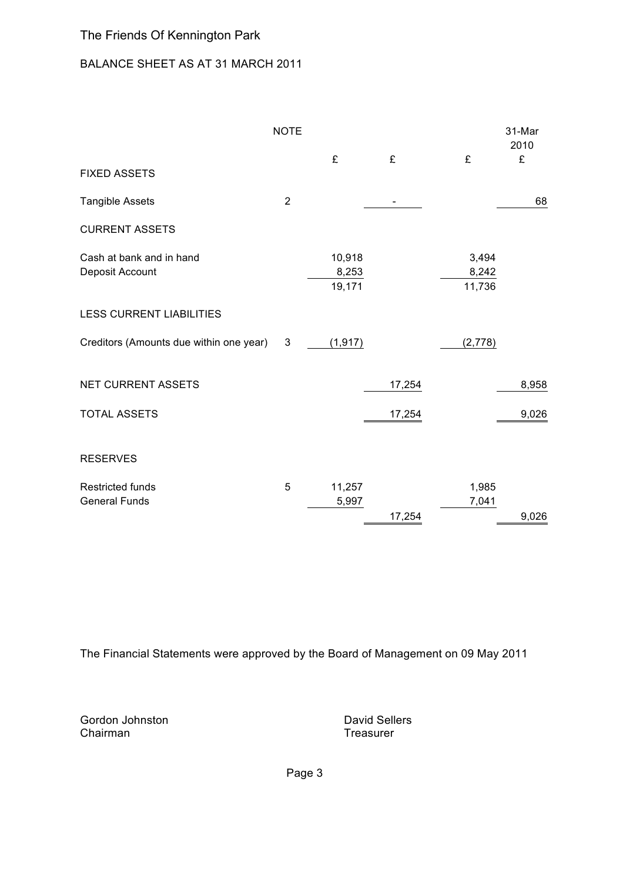# BALANCE SHEET AS AT 31 MARCH 2011

|                                                 | <b>NOTE</b>    |                           |        |                          | 31-Mar<br>2010 |
|-------------------------------------------------|----------------|---------------------------|--------|--------------------------|----------------|
| <b>FIXED ASSETS</b>                             |                | £                         | £      | £                        | £              |
| Tangible Assets                                 | $\overline{2}$ |                           |        |                          | 68             |
| <b>CURRENT ASSETS</b>                           |                |                           |        |                          |                |
| Cash at bank and in hand<br>Deposit Account     |                | 10,918<br>8,253<br>19,171 |        | 3,494<br>8,242<br>11,736 |                |
| <b>LESS CURRENT LIABILITIES</b>                 |                |                           |        |                          |                |
| Creditors (Amounts due within one year)         | 3              | (1, 917)                  |        | (2,778)                  |                |
| <b>NET CURRENT ASSETS</b>                       |                |                           | 17,254 |                          | 8,958          |
| <b>TOTAL ASSETS</b>                             |                |                           | 17,254 |                          | 9,026          |
| <b>RESERVES</b>                                 |                |                           |        |                          |                |
| <b>Restricted funds</b><br><b>General Funds</b> | 5              | 11,257<br>5,997           | 17,254 | 1,985<br>7,041           | 9,026          |

The Financial Statements were approved by the Board of Management on 09 May 2011

Gordon Johnston **David Sellers** Chairman **Treasurer** Chairman **Treasurer** 

Page 3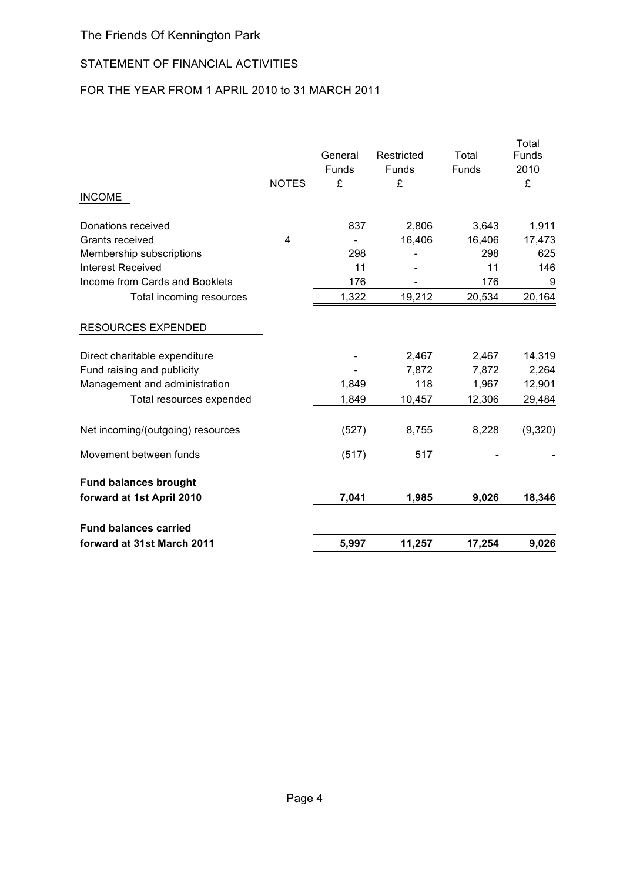# STATEMENT OF FINANCIAL ACTIVITIES

# FOR THE YEAR FROM 1 APRIL 2010 to 31 MARCH 2011

| forward at 31st March 2011            |              | 5,997            | 11,257              | 17,254          | 9,026           |
|---------------------------------------|--------------|------------------|---------------------|-----------------|-----------------|
| <b>Fund balances carried</b>          |              |                  |                     |                 |                 |
| forward at 1st April 2010             |              | 7,041            | 1,985               | 9,026           | 18,346          |
| <b>Fund balances brought</b>          |              |                  |                     |                 |                 |
| Movement between funds                |              | (517)            | 517                 |                 |                 |
| Net incoming/(outgoing) resources     |              | (527)            | 8,755               | 8,228           | (9,320)         |
| Total resources expended              |              | 1,849            | 10,457              | 12,306          | 29,484          |
| Management and administration         |              | 1,849            | 118                 | 1,967           | 12,901          |
| Fund raising and publicity            |              |                  | 7,872               | 7,872           | 2,264           |
| Direct charitable expenditure         |              |                  | 2,467               | 2,467           | 14,319          |
| <b>RESOURCES EXPENDED</b>             |              |                  |                     |                 |                 |
| Total incoming resources              |              | 1,322            | 19,212              | 20,534          | 20,164          |
| Income from Cards and Booklets        |              | 176              |                     | 176             | 9               |
| <b>Interest Received</b>              |              | 11               |                     | 11              | 146             |
| Membership subscriptions              |              | 298              |                     | 298             | 625             |
| Donations received<br>Grants received | 4            | 837              | 2,806<br>16,406     | 3,643<br>16,406 | 1,911<br>17,473 |
| <b>INCOME</b>                         |              |                  |                     |                 |                 |
|                                       | <b>NOTES</b> | £                | £                   |                 | £               |
|                                       |              | General<br>Funds | Restricted<br>Funds | Total<br>Funds  | Funds<br>2010   |
|                                       |              |                  |                     |                 | Total           |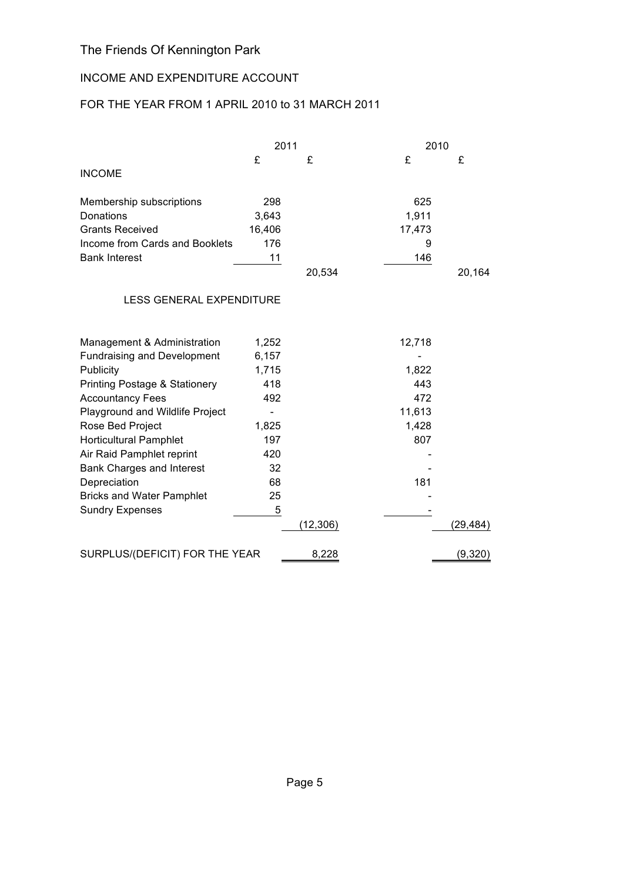# INCOME AND EXPENDITURE ACCOUNT

# FOR THE YEAR FROM 1 APRIL 2010 to 31 MARCH 2011

|                                          | 2011   |           | 2010   |          |
|------------------------------------------|--------|-----------|--------|----------|
|                                          | £      | £         | £      | £        |
| <b>INCOME</b>                            |        |           |        |          |
| Membership subscriptions                 | 298    |           | 625    |          |
| Donations                                | 3,643  |           | 1,911  |          |
| <b>Grants Received</b>                   | 16,406 |           | 17,473 |          |
| Income from Cards and Booklets           | 176    |           | 9      |          |
| <b>Bank Interest</b>                     | 11     |           | 146    |          |
|                                          |        | 20,534    |        | 20,164   |
| <b>LESS GENERAL EXPENDITURE</b>          |        |           |        |          |
| Management & Administration              | 1,252  |           | 12,718 |          |
| <b>Fundraising and Development</b>       | 6,157  |           |        |          |
| Publicity                                | 1,715  |           | 1,822  |          |
| <b>Printing Postage &amp; Stationery</b> | 418    |           | 443    |          |
| <b>Accountancy Fees</b>                  | 492    |           | 472    |          |
| Playground and Wildlife Project          |        |           | 11,613 |          |
| Rose Bed Project                         | 1,825  |           | 1,428  |          |
| <b>Horticultural Pamphlet</b>            | 197    |           | 807    |          |
| Air Raid Pamphlet reprint                | 420    |           |        |          |
| <b>Bank Charges and Interest</b>         | 32     |           |        |          |
| Depreciation                             | 68     |           | 181    |          |
| <b>Bricks and Water Pamphlet</b>         | 25     |           |        |          |
| <b>Sundry Expenses</b>                   | 5      |           |        |          |
|                                          |        | (12, 306) |        | (29,484) |
| SURPLUS/(DEFICIT) FOR THE YEAR           |        | 8,228     |        | (9,320)  |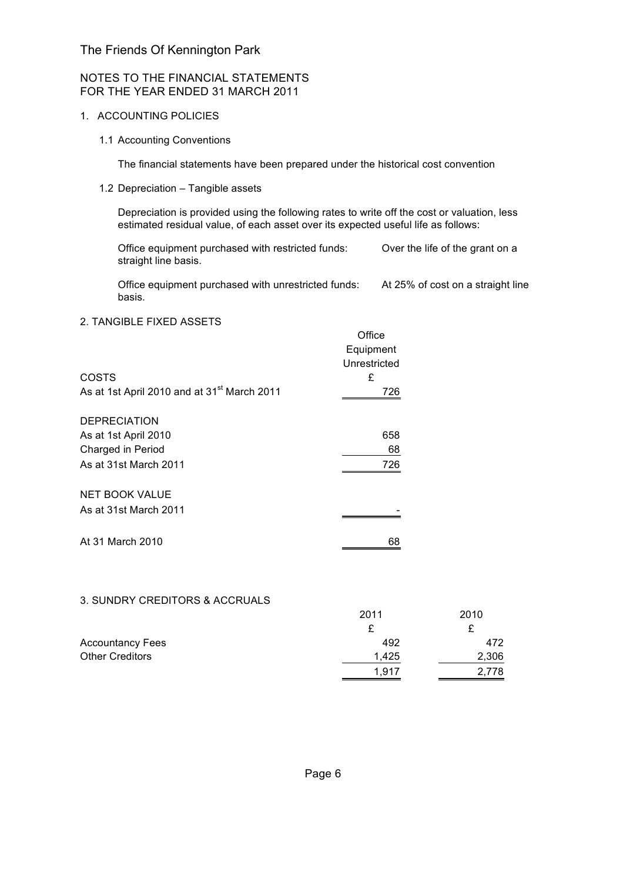## NOTES TO THE FINANCIAL STATEMENTS FOR THE YEAR ENDED 31 MARCH 2011

## 1. ACCOUNTING POLICIES

1.1 Accounting Conventions

The financial statements have been prepared under the historical cost convention

1.2 Depreciation – Tangible assets

Depreciation is provided using the following rates to write off the cost or valuation, less estimated residual value, of each asset over its expected useful life as follows:

Office equipment purchased with restricted funds: Over the life of the grant on a straight line basis.

Office equipment purchased with unrestricted funds: At 25% of cost on a straight line basis.

## 2. TANGIBLE FIXED ASSETS

|                                                         | Office       |
|---------------------------------------------------------|--------------|
|                                                         | Equipment    |
|                                                         | Unrestricted |
| <b>COSTS</b>                                            | £            |
| As at 1st April 2010 and at 31 <sup>st</sup> March 2011 | 726          |
| <b>DEPRECIATION</b>                                     |              |
| As at 1st April 2010                                    | 658          |
| Charged in Period                                       | 68           |
| As at 31st March 2011                                   | 726          |
| <b>NET BOOK VALUE</b>                                   |              |
| As at 31st March 2011                                   |              |
| At 31 March 2010                                        | 68           |

## 3. SUNDRY CREDITORS & ACCRUALS

|                         | 2011  | 2010  |
|-------------------------|-------|-------|
|                         |       | £     |
| <b>Accountancy Fees</b> | 492   | 472   |
| <b>Other Creditors</b>  | 1.425 | 2,306 |
|                         | 1.917 | 2,778 |